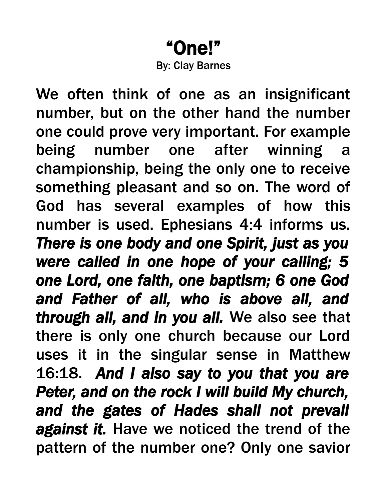## "One!" By: Clay Barnes

We often think of one as an insignificant number, but on the other hand the number one could prove very important. For example being number one after winning a championship, being the only one to receive something pleasant and so on. The word of God has several examples of how this number is used. Ephesians 4:4 informs us. *There is one body and one Spirit, just as you were called in one hope of your calling; 5 one Lord, one faith, one baptism; 6 one God and Father of all, who is above all, and through all, and in you all.* We also see that there is only one church because our Lord uses it in the singular sense in Matthew 16:18. *And I also say to you that you are Peter, and on the rock I will build My church, and the gates of Hades shall not prevail against it.* Have we noticed the trend of the pattern of the number one? Only one savior